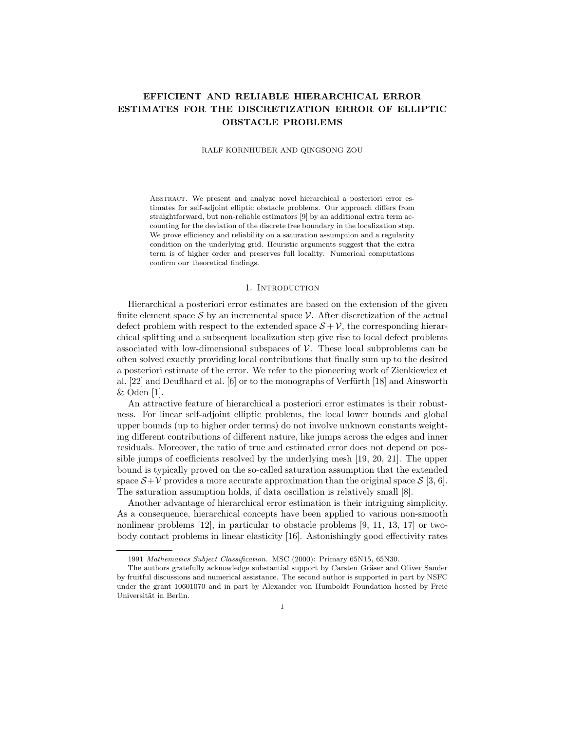# **EFFICIENT AND RELIABLE HIERARCHICAL ERROR ESTIMATES FOR THE DISCRETIZATION ERROR OF ELLIPTIC OBSTACLE PROBLEMS**

RALF KORNHUBER AND QINGSONG ZOU

ABSTRACT. We present and analyze novel hierarchical a posteriori error estimates for self-adjoint elliptic obstacle problems. Our approach differs from straightforward, but non-reliable estimators [9] by an additional extra term accounting for the deviation of the discrete free boundary in the localization step. We prove efficiency and reliability on a saturation assumption and a regularity condition on the underlying grid. Heuristic arguments suggest that the extra term is of higher order and preserves full locality. Numerical computations confirm our theoretical findings.

## 1. INTRODUCTION

Hierarchical a posteriori error estimates are based on the extension of the given finite element space  $S$  by an incremental space  $V$ . After discretization of the actual defect problem with respect to the extended space  $S + V$ , the corresponding hierarchical splitting and a subsequent localization step give rise to local defect problems associated with low-dimensional subspaces of  $\mathcal V$ . These local subproblems can be often solved exactly providing local contributions that finally sum up to the desired a posteriori estimate of the error. We refer to the pioneering work of Zienkiewicz et al.  $[22]$  and Deuflhard et al.  $[6]$  or to the monographs of Verfürth  $[18]$  and Ainsworth & Oden [1].

An attractive feature of hierarchical a posteriori error estimates is their robustness. For linear self-adjoint elliptic problems, the local lower bounds and global upper bounds (up to higher order terms) do not involve unknown constants weighting different contributions of different nature, like jumps across the edges and inner residuals. Moreover, the ratio of true and estimated error does not depend on possible jumps of coefficients resolved by the underlying mesh [19, 20, 21]. The upper bound is typically proved on the so-called saturation assumption that the extended space  $S+\mathcal{V}$  provides a more accurate approximation than the original space S [3, 6]. The saturation assumption holds, if data oscillation is relatively small [8].

Another advantage of hierarchical error estimation is their intriguing simplicity. As a consequence, hierarchical concepts have been applied to various non-smooth nonlinear problems  $[12]$ , in particular to obstacle problems  $[9, 11, 13, 17]$  or twobody contact problems in linear elasticity [16]. Astonishingly good effectivity rates

<sup>1991</sup> *Mathematics Subject Classification.* MSC (2000): Primary 65N15, 65N30.

The authors gratefully acknowledge substantial support by Carsten Gräser and Oliver Sander by fruitful discussions and numerical assistance. The second author is supported in part by NSFC under the grant 10601070 and in part by Alexander von Humboldt Foundation hosted by Freie Universität in Berlin.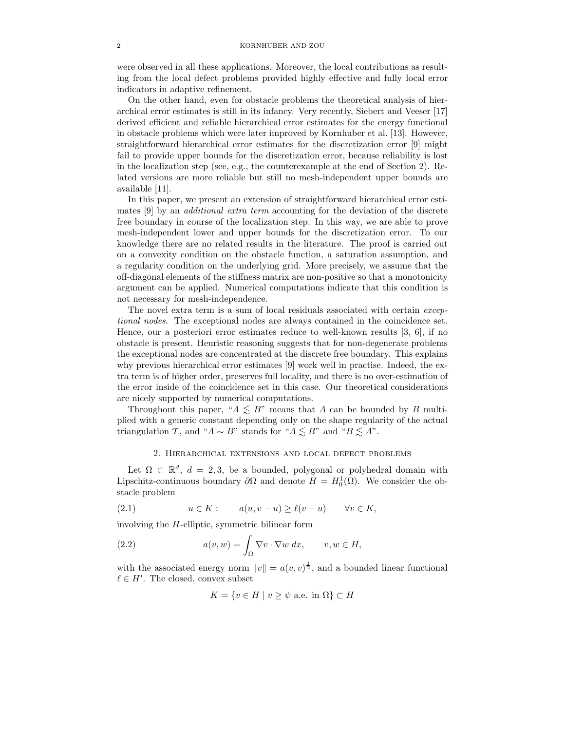were observed in all these applications. Moreover, the local contributions as resulting from the local defect problems provided highly effective and fully local error indicators in adaptive refinement.

On the other hand, even for obstacle problems the theoretical analysis of hierarchical error estimates is still in its infancy. Very recently, Siebert and Veeser [17] derived efficient and reliable hierarchical error estimates for the energy functional in obstacle problems which were later improved by Kornhuber et al. [13]. However, straightforward hierarchical error estimates for the discretization error [9] might fail to provide upper bounds for the discretization error, because reliability is lost in the localization step (see, e.g., the counterexample at the end of Section 2). Related versions are more reliable but still no mesh-independent upper bounds are available [11].

In this paper, we present an extension of straightforward hierarchical error estimates [9] by an *additional extra term* accounting for the deviation of the discrete free boundary in course of the localization step. In this way, we are able to prove mesh-independent lower and upper bounds for the discretization error. To our knowledge there are no related results in the literature. The proof is carried out on a convexity condition on the obstacle function, a saturation assumption, and a regularity condition on the underlying grid. More precisely, we assume that the off-diagonal elements of the stiffness matrix are non-positive so that a monotonicity argument can be applied. Numerical computations indicate that this condition is not necessary for mesh-independence.

The novel extra term is a sum of local residuals associated with certain *exceptional nodes*. The exceptional nodes are always contained in the coincidence set. Hence, our a posteriori error estimates reduce to well-known results [3, 6], if no obstacle is present. Heuristic reasoning suggests that for non-degenerate problems the exceptional nodes are concentrated at the discrete free boundary. This explains why previous hierarchical error estimates [9] work well in practise. Indeed, the extra term is of higher order, preserves full locality, and there is no over-estimation of the error inside of the coincidence set in this case. Our theoretical considerations are nicely supported by numerical computations.

Throughout this paper, " $A \leq B$ " means that A can be bounded by B multiplied with a generic constant depending only on the shape regularity of the actual triangulation T, and " $A \sim B$ " stands for " $A \lesssim B$ " and " $B \lesssim A$ ".

## 2. Hierarchical extensions and local defect problems

Let  $\Omega \subset \mathbb{R}^d$ ,  $d = 2, 3$ , be a bounded, polygonal or polyhedral domain with Lipschitz-continuous boundary  $\partial\Omega$  and denote  $H = H_0^1(\Omega)$ . We consider the obstacle problem

(2.1) 
$$
u \in K: \qquad a(u, v - u) \ge \ell(v - u) \qquad \forall v \in K,
$$

involving the H-elliptic, symmetric bilinear form

(2.2) 
$$
a(v, w) = \int_{\Omega} \nabla v \cdot \nabla w \, dx, \qquad v, w \in H,
$$

with the associated energy norm  $||v|| = a(v, v)^{\frac{1}{2}}$ , and a bounded linear functional  $\ell \in H'$ . The closed, convex subset

$$
K = \{ v \in H \mid v \ge \psi \text{ a.e. in } \Omega \} \subset H
$$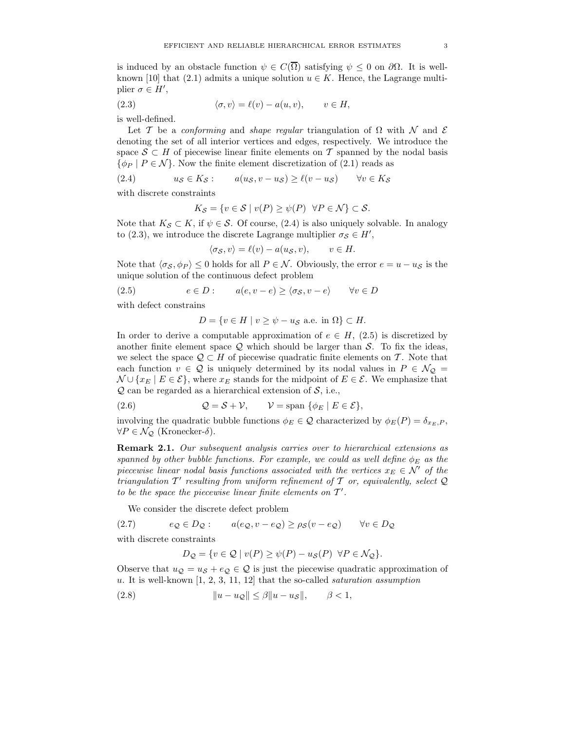is induced by an obstacle function  $\psi \in C(\overline{\Omega})$  satisfying  $\psi \leq 0$  on  $\partial \Omega$ . It is wellknown [10] that (2.1) admits a unique solution  $u \in K$ . Hence, the Lagrange multiplier  $\sigma \in H'$ ,

(2.3) 
$$
\langle \sigma, v \rangle = \ell(v) - a(u, v), \qquad v \in H,
$$

is well-defined.

Let T be a *conforming* and *shape regular* triangulation of  $\Omega$  with N and E denoting the set of all interior vertices and edges, respectively. We introduce the space  $S \subset H$  of piecewise linear finite elements on T spanned by the nodal basis  $\{\phi_P \mid P \in \mathcal{N}\}\.$  Now the finite element discretization of (2.1) reads as

(2.4) 
$$
u_S \in K_S
$$
:  $a(u_S, v - u_S) \ge \ell(v - u_S)$   $\forall v \in K_S$ 

with discrete constraints

$$
K_{\mathcal{S}} = \{ v \in \mathcal{S} \mid v(P) \ge \psi(P) \quad \forall P \in \mathcal{N} \} \subset \mathcal{S}.
$$

Note that  $K_{\mathcal{S}} \subset K$ , if  $\psi \in \mathcal{S}$ . Of course, (2.4) is also uniquely solvable. In analogy to (2.3), we introduce the discrete Lagrange multiplier  $\sigma_{\mathcal{S}} \in H'$ ,

$$
\langle \sigma_{\mathcal{S}}, v \rangle = \ell(v) - a(u_{\mathcal{S}}, v), \qquad v \in H.
$$

Note that  $\langle \sigma_S, \phi_P \rangle \leq 0$  holds for all  $P \in \mathcal{N}$ . Obviously, the error  $e = u - u_S$  is the unique solution of the continuous defect problem

(2.5) 
$$
e \in D
$$
:  $a(e, v - e) \ge \langle \sigma_{\mathcal{S}}, v - e \rangle \quad \forall v \in D$ 

with defect constrains

$$
D = \{ v \in H \mid v \ge \psi - u_{\mathcal{S}} \text{ a.e. in } \Omega \} \subset H.
$$

In order to derive a computable approximation of  $e \in H$ , (2.5) is discretized by another finite element space  $Q$  which should be larger than  $S$ . To fix the ideas, we select the space  $\mathcal{Q} \subset H$  of piecewise quadratic finite elements on T. Note that each function  $v \in \mathcal{Q}$  is uniquely determined by its nodal values in  $P \in \mathcal{N}_{\mathcal{Q}} =$  $\mathcal{N} \cup \{x_E \mid E \in \mathcal{E}\}\$ , where  $x_E$  stands for the midpoint of  $E \in \mathcal{E}\$ . We emphasize that  $Q$  can be regarded as a hierarchical extension of  $S$ , i.e.,

(2.6) 
$$
Q = S + V, \qquad V = \text{span} \{ \phi_E \mid E \in \mathcal{E} \},
$$

involving the quadratic bubble functions  $\phi_E \in \mathcal{Q}$  characterized by  $\phi_E(P) = \delta_{x_E, P}$ ,  $\forall P \in \mathcal{N}_{\mathcal{Q}}$  (Kronecker- $\delta$ ).

**Remark 2.1.** *Our subsequent analysis carries over to hierarchical extensions as spanned by other bubble functions. For example, we could as well define*  $\phi_E$  *as the piecewise linear nodal basis functions associated with the vertices*  $x_E \in \mathcal{N}'$  of the *triangulation*  $T'$  resulting from uniform refinement of  $T$  or, equivalently, select  $Q$ *to be the space the piecewise linear finite elements on*  $T'$ .

We consider the discrete defect problem

(2.7)  $e_Q \in D_Q: \qquad a(e_Q, v - e_Q) \ge \rho_S(v - e_Q) \qquad \forall v \in D_Q$ 

with discrete constraints

$$
D_{\mathcal{Q}} = \{ v \in \mathcal{Q} \mid v(P) \ge \psi(P) - u_{\mathcal{S}}(P) \ \forall P \in \mathcal{N}_{\mathcal{Q}} \}.
$$

Observe that  $u_Q = u_S + e_Q \in Q$  is just the piecewise quadratic approximation of u. It is well-known [1, 2, 3, 11, 12] that the so-called *saturation assumption*

(2.8)  $||u - u_{\mathcal{Q}}|| \leq \beta ||u - u_{\mathcal{S}}||, \quad \beta < 1,$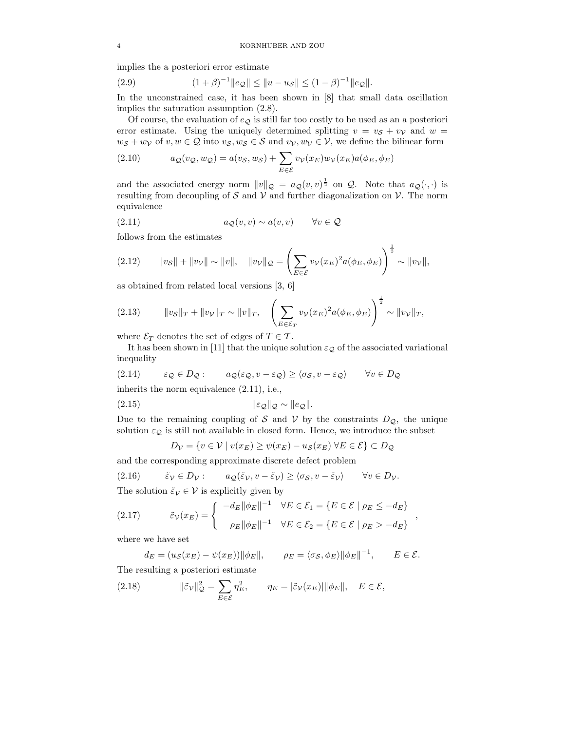implies the a posteriori error estimate

(2.9) 
$$
(1+\beta)^{-1} \|e_{\mathcal{Q}}\| \le \|u - u_{\mathcal{S}}\| \le (1-\beta)^{-1} \|e_{\mathcal{Q}}\|.
$$

In the unconstrained case, it has been shown in [8] that small data oscillation implies the saturation assumption (2.8).

Of course, the evaluation of  $e_Q$  is still far too costly to be used as an a posteriori error estimate. Using the uniquely determined splitting  $v = v_S + v_V$  and  $w =$  $w_{\mathcal{S}} + w_{\mathcal{V}}$  of  $v, w \in \mathcal{Q}$  into  $v_{\mathcal{S}}$ ,  $w_{\mathcal{S}} \in \mathcal{S}$  and  $v_{\mathcal{V}}$ ,  $w_{\mathcal{V}} \in \mathcal{V}$ , we define the bilinear form

(2.10) 
$$
a_{\mathcal{Q}}(v_{\mathcal{Q}}, w_{\mathcal{Q}}) = a(v_{\mathcal{S}}, w_{\mathcal{S}}) + \sum_{E \in \mathcal{E}} v_{\mathcal{V}}(x_E) w_{\mathcal{V}}(x_E) a(\phi_E, \phi_E)
$$

and the associated energy norm  $||v||_{\mathcal{Q}} = a_{\mathcal{Q}}(v, v)^{\frac{1}{2}}$  on  $\mathcal{Q}$ . Note that  $a_{\mathcal{Q}}(\cdot, \cdot)$  is resulting from decoupling of S and V and further diagonalization on V. The norm equivalence

(2.11) 
$$
a_{\mathcal{Q}}(v,v) \sim a(v,v) \qquad \forall v \in \mathcal{Q}
$$

follows from the estimates

(2.12) 
$$
\|v_{\mathcal{S}}\| + \|v_{\mathcal{V}}\| \sim \|v\|, \quad \|v_{\mathcal{V}}\|_{\mathcal{Q}} = \left(\sum_{E \in \mathcal{E}} v_{\mathcal{V}}(x_E)^2 a(\phi_E, \phi_E)\right)^{\frac{1}{2}} \sim \|v_{\mathcal{V}}\|,
$$

as obtained from related local versions [3, 6]

(2.13) 
$$
\|v_{S}\|_{T} + \|v_{V}\|_{T} \sim \|v\|_{T}, \quad \left(\sum_{E \in \mathcal{E}_{T}} v_{V}(x_{E})^{2} a(\phi_{E}, \phi_{E})\right)^{\frac{1}{2}} \sim \|v_{V}\|_{T},
$$

where  $\mathcal{E}_T$  denotes the set of edges of  $T \in \mathcal{T}$ .

It has been shown in [11] that the unique solution  $\varepsilon_{\mathcal{Q}}$  of the associated variational inequality

(2.14) 
$$
\varepsilon_{\mathcal{Q}} \in D_{\mathcal{Q}}:
$$
  $a_{\mathcal{Q}}(\varepsilon_{\mathcal{Q}}, v - \varepsilon_{\mathcal{Q}}) \ge \langle \sigma_{\mathcal{S}}, v - \varepsilon_{\mathcal{Q}} \rangle \quad \forall v \in D_{\mathcal{Q}}$ 

inherits the norm equivalence (2.11), i.e.,

$$
||\varepsilon_{\mathcal{Q}}||_{\mathcal{Q}} \sim ||e_{\mathcal{Q}}||.
$$

Due to the remaining coupling of S and V by the constraints  $D_{\mathcal{Q}}$ , the unique solution  $\varepsilon_{\mathcal{Q}}$  is still not available in closed form. Hence, we introduce the subset

$$
D_{\mathcal{V}} = \{v \in \mathcal{V} \mid v(x_E) \ge \psi(x_E) - u_{\mathcal{S}}(x_E) \ \forall E \in \mathcal{E}\} \subset D_{\mathcal{Q}}
$$

and the corresponding approximate discrete defect problem

(2.16) 
$$
\tilde{\varepsilon}_{\mathcal{V}} \in D_{\mathcal{V}}:
$$
  $a_{\mathcal{Q}}(\tilde{\varepsilon}_{\mathcal{V}}, v - \tilde{\varepsilon}_{\mathcal{V}}) \ge \langle \sigma_{\mathcal{S}}, v - \tilde{\varepsilon}_{\mathcal{V}} \rangle \quad \forall v \in D_{\mathcal{V}}.$ 

The solution  $\tilde{\varepsilon}_{\mathcal{V}} \in \mathcal{V}$  is explicitly given by

(2.17) 
$$
\tilde{\varepsilon}_{\mathcal{V}}(x_E) = \begin{cases}\n-d_E \|\phi_E\|^{-1} & \forall E \in \mathcal{E}_1 = \{E \in \mathcal{E} \mid \rho_E \le -d_E\} \\
\rho_E \|\phi_E\|^{-1} & \forall E \in \mathcal{E}_2 = \{E \in \mathcal{E} \mid \rho_E > -d_E\}\n\end{cases}
$$

where we have set

$$
d_E = (u_{\mathcal{S}}(x_E) - \psi(x_E)) ||\phi_E||, \qquad \rho_E = \langle \sigma_{\mathcal{S}}, \phi_E \rangle ||\phi_E||^{-1}, \qquad E \in \mathcal{E}.
$$

The resulting a posteriori estimate

(2.18) 
$$
\|\tilde{\varepsilon}_{\mathcal{V}}\|_{\mathcal{Q}}^2 = \sum_{E \in \mathcal{E}} \eta_E^2, \qquad \eta_E = |\tilde{\varepsilon}_{\mathcal{V}}(x_E)| \|\phi_E\|, \quad E \in \mathcal{E},
$$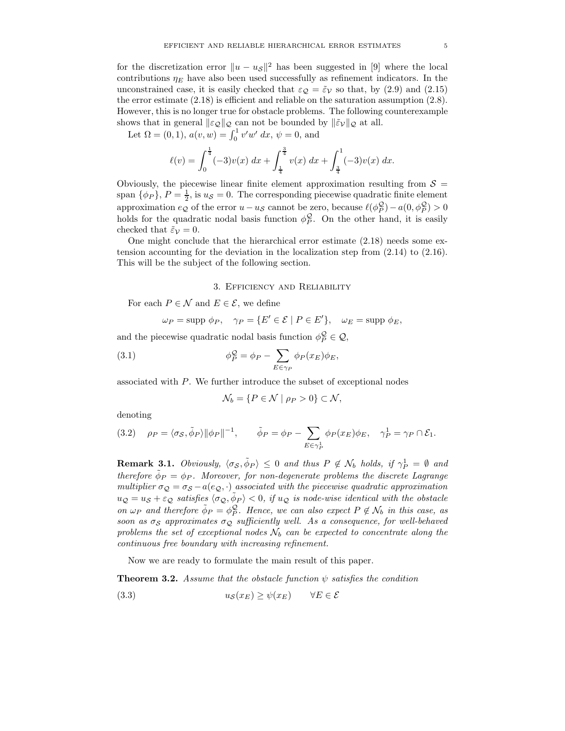for the discretization error  $||u - u_{\mathcal{S}}||^2$  has been suggested in [9] where the local contributions  $\eta_E$  have also been used successfully as refinement indicators. In the unconstrained case, it is easily checked that  $\varepsilon_{\mathcal{Q}} = \tilde{\varepsilon}_{\mathcal{V}}$  so that, by (2.9) and (2.15) the error estimate (2.18) is efficient and reliable on the saturation assumption (2.8). However, this is no longer true for obstacle problems. The following counterexample shows that in general  $\|\varepsilon_{\mathcal{Q}}\|_{\mathcal{Q}}$  can not be bounded by  $\|\tilde{\varepsilon}_{\mathcal{V}}\|_{\mathcal{Q}}$  at all.

Let  $\Omega = (0, 1), a(v, w) = \int_0^1 v' w' dx, \psi = 0$ , and

$$
\ell(v) = \int_0^{\frac{1}{4}} (-3)v(x) \, dx + \int_{\frac{1}{4}}^{\frac{3}{4}} v(x) \, dx + \int_{\frac{3}{4}}^1 (-3)v(x) \, dx.
$$

Obviously, the piecewise linear finite element approximation resulting from  $\mathcal{S} =$ span  $\{\phi_P\}$ ,  $P = \frac{1}{2}$ , is  $u_S = 0$ . The corresponding piecewise quadratic finite element approximation  $e_Q$  of the error  $u - u_S$  cannot be zero, because  $\ell(\phi_P^{\mathcal{Q}}) - a(0, \phi_P^{\mathcal{Q}}) > 0$ holds for the quadratic nodal basis function  $\phi_P^Q$ . On the other hand, it is easily checked that  $\tilde{\varepsilon}_{\mathcal{V}} = 0$ .

One might conclude that the hierarchical error estimate (2.18) needs some extension accounting for the deviation in the localization step from (2.14) to (2.16). This will be the subject of the following section.

## 3. Efficiency and Reliability

For each  $P \in \mathcal{N}$  and  $E \in \mathcal{E}$ , we define

$$
\omega_P = \text{supp }\phi_P, \quad \gamma_P = \{ E' \in \mathcal{E} \mid P \in E' \}, \quad \omega_E = \text{supp }\phi_E,
$$

and the piecewise quadratic nodal basis function  $\phi_P^{\mathcal{Q}} \in \mathcal{Q}$ ,

(3.1) 
$$
\phi_P^{\mathcal{Q}} = \phi_P - \sum_{E \in \gamma_P} \phi_P(x_E) \phi_E,
$$

associated with P. We further introduce the subset of exceptional nodes

$$
\mathcal{N}_b = \{ P \in \mathcal{N} \mid \rho_P > 0 \} \subset \mathcal{N},
$$

denoting

(3.2) 
$$
\rho_P = \langle \sigma_S, \tilde{\phi}_P \rangle ||\phi_P||^{-1}, \qquad \tilde{\phi}_P = \phi_P - \sum_{E \in \gamma_P^1} \phi_P(x_E) \phi_E, \quad \gamma_P^1 = \gamma_P \cap \mathcal{E}_1.
$$

**Remark 3.1.** *Obviously,*  $\langle \sigma_S, \tilde{\phi}_P \rangle \leq 0$  *and thus*  $P \notin \mathcal{N}_b$  *holds, if*  $\gamma_P^1 = \emptyset$  *and therefore*  $\phi_P = \phi_P$ *. Moreover, for non-degenerate problems the discrete Lagrange multiplier*  $\sigma_Q = \sigma_S - a(e_Q, \cdot)$  *associated with the piecewise quadratic approximation*  $u_{\mathcal{Q}} = u_{\mathcal{S}} + \varepsilon_{\mathcal{Q}}$  satisfies  $\langle \sigma_{\mathcal{Q}}, \tilde{\phi}_P \rangle < 0$ , if  $u_{\mathcal{Q}}$  is node-wise identical with the obstacle *on*  $\omega_P$  *and therefore*  $\tilde{\phi}_P = \phi_P^Q$ . Hence, we can also expect  $P \notin \mathcal{N}_b$  in this case, as *soon as*  $\sigma_S$  *approximates*  $\sigma_Q$  *sufficiently well. As a consequence, for well-behaved* problems the set of exceptional nodes  $N_b$  can be expected to concentrate along the *continuous free boundary with increasing refinement.*

Now we are ready to formulate the main result of this paper.

**Theorem 3.2.** *Assume that the obstacle function*  $\psi$  *satisfies the condition* 

(3.3) 
$$
u_{\mathcal{S}}(x_E) \ge \psi(x_E) \qquad \forall E \in \mathcal{E}
$$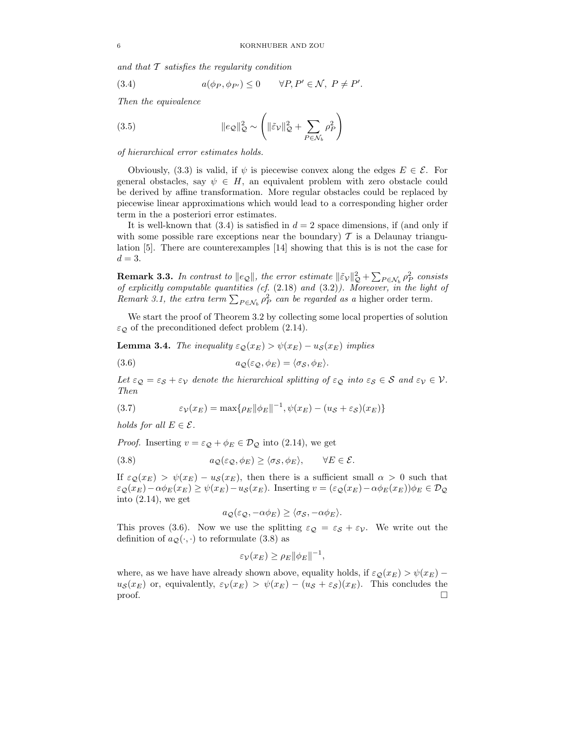*and that* T *satisfies the regularity condition*

(3.4) 
$$
a(\phi_P, \phi_{P'}) \leq 0 \quad \forall P, P' \in \mathcal{N}, P \neq P'.
$$

*Then the equivalence*

(3.5) 
$$
\|e_{\mathcal{Q}}\|_{\mathcal{Q}}^2 \sim \left(\|\tilde{\varepsilon}_{\mathcal{V}}\|_{\mathcal{Q}}^2 + \sum_{P \in \mathcal{N}_b} \rho_P^2\right)
$$

*of hierarchical error estimates holds.*

Obviously, (3.3) is valid, if  $\psi$  is piecewise convex along the edges  $E \in \mathcal{E}$ . For general obstacles, say  $\psi \in H$ , an equivalent problem with zero obstacle could be derived by affine transformation. More regular obstacles could be replaced by piecewise linear approximations which would lead to a corresponding higher order term in the a posteriori error estimates.

It is well-known that  $(3.4)$  is satisfied in  $d = 2$  space dimensions, if (and only if with some possible rare exceptions near the boundary)  $\mathcal T$  is a Delaunay triangulation [5]. There are counterexamples [14] showing that this is is not the case for  $d=3$ .

**Remark 3.3.** *In contrast to*  $||e_{\mathcal{Q}}||$ , *the error estimate*  $||\tilde{e}_{\mathcal{V}}||_{\mathcal{Q}}^2 + \sum_{P \in \mathcal{N}_b} \rho_P^2$  consists *of explicitly computable quantities (cf.* (2.18) *and* (3.2)*). Moreover, in the light of Remark 3.1, the extra term*  $\sum_{P \in \mathcal{N}_b} \rho_P^2$  *can be regarded as a* higher order term.

We start the proof of Theorem 3.2 by collecting some local properties of solution  $\varepsilon_{\mathcal{Q}}$  of the preconditioned defect problem (2.14).

**Lemma 3.4.** *The inequality*  $\varepsilon_{\mathcal{Q}}(x_E) > \psi(x_E) - u_{\mathcal{S}}(x_E)$  *implies* 

(3.6) 
$$
a_{\mathcal{Q}}(\varepsilon_{\mathcal{Q}}, \phi_E) = \langle \sigma_{\mathcal{S}}, \phi_E \rangle.
$$

*Let*  $\varepsilon_{\mathcal{Q}} = \varepsilon_{\mathcal{S}} + \varepsilon_{\mathcal{V}}$  *denote the hierarchical splitting of*  $\varepsilon_{\mathcal{Q}}$  *into*  $\varepsilon_{\mathcal{S}} \in \mathcal{S}$  *and*  $\varepsilon_{\mathcal{V}} \in \mathcal{V}$ *. Then*

(3.7) 
$$
\varepsilon_{\mathcal{V}}(x_E) = \max\{\rho_E ||\phi_E||^{-1}, \psi(x_E) - (u_{\mathcal{S}} + \varepsilon_{\mathcal{S}})(x_E)\}\
$$

*holds for all*  $E \in \mathcal{E}$ *.* 

*Proof.* Inserting  $v = \varepsilon_{\mathcal{Q}} + \phi_E \in \mathcal{D}_{\mathcal{Q}}$  into (2.14), we get

(3.8) 
$$
a_{\mathcal{Q}}(\varepsilon_{\mathcal{Q}}, \phi_E) \ge \langle \sigma_{\mathcal{S}}, \phi_E \rangle, \qquad \forall E \in \mathcal{E}.
$$

If  $\varepsilon_{\mathcal{Q}}(x_E) > \psi(x_E) - u_{\mathcal{S}}(x_E)$ , then there is a sufficient small  $\alpha > 0$  such that  $\varepsilon_{\mathcal{Q}}(x_E) - \alpha \phi_E(x_E) \geq \psi(x_E) - u_{\mathcal{S}}(x_E)$ . Inserting  $v = (\varepsilon_{\mathcal{Q}}(x_E) - \alpha \phi_E(x_E)) \phi_E \in \mathcal{D}_{\mathcal{Q}}$ into  $(2.14)$ , we get

$$
a_{\mathcal{Q}}(\varepsilon_{\mathcal{Q}}, -\alpha\phi_E) \ge \langle \sigma_{\mathcal{S}}, -\alpha\phi_E \rangle.
$$

This proves (3.6). Now we use the splitting  $\varepsilon_{\mathcal{Q}} = \varepsilon_{\mathcal{S}} + \varepsilon_{\mathcal{V}}$ . We write out the definition of  $a_{\mathcal{Q}}(\cdot, \cdot)$  to reformulate (3.8) as

$$
\varepsilon_{\mathcal{V}}(x_E) \ge \rho_E ||\phi_E||^{-1},
$$

where, as we have have already shown above, equality holds, if  $\varepsilon_{\mathcal{Q}}(x_E) > \psi(x_E)$  $u_{\mathcal{S}}(x_E)$  or, equivalently,  $\varepsilon_V(x_E) > \psi(x_E) - (u_{\mathcal{S}} + \varepsilon_{\mathcal{S}})(x_E)$ . This concludes the proof.  $\Box$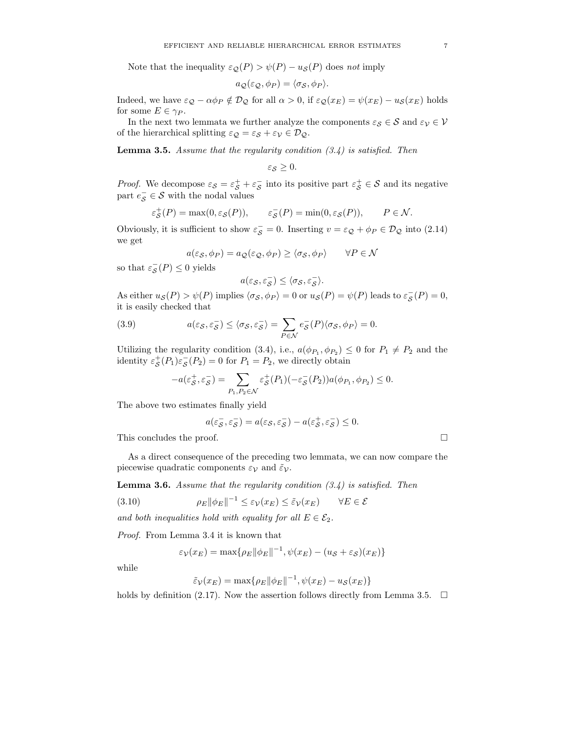Note that the inequality  $\varepsilon_{\mathcal{O}}(P) > \psi(P) - u_{\mathcal{S}}(P)$  does *not* imply

$$
a_{\mathcal{Q}}(\varepsilon_{\mathcal{Q}}, \phi_P) = \langle \sigma_{\mathcal{S}}, \phi_P \rangle.
$$

Indeed, we have  $\varepsilon_{\mathcal{Q}} - \alpha \phi_P \notin \mathcal{D}_{\mathcal{Q}}$  for all  $\alpha > 0$ , if  $\varepsilon_{\mathcal{Q}}(x_E) = \psi(x_E) - u_{\mathcal{S}}(x_E)$  holds for some  $E \in \gamma_P$ .

In the next two lemmata we further analyze the components  $\varepsilon_{\mathcal{S}} \in \mathcal{S}$  and  $\varepsilon_{\mathcal{V}} \in \mathcal{V}$ of the hierarchical splitting  $\varepsilon_{\mathcal{Q}} = \varepsilon_{\mathcal{S}} + \varepsilon_{\mathcal{V}} \in \mathcal{D}_{\mathcal{Q}}$ .

**Lemma 3.5.** *Assume that the regularity condition (3.4) is satisfied. Then*

 $\varepsilon_{\mathcal{S}} \geq 0$ .

*Proof.* We decompose  $\varepsilon_{\mathcal{S}} = \varepsilon_{\mathcal{S}}^+ + \varepsilon_{\mathcal{S}}^-$  into its positive part  $\varepsilon_{\mathcal{S}}^+ \in \mathcal{S}$  and its negative part  $e_{\mathcal{S}}^- \in \mathcal{S}$  with the nodal values

$$
\varepsilon_{\mathcal{S}}^+(P) = \max(0, \varepsilon_{\mathcal{S}}(P)), \qquad \varepsilon_{\mathcal{S}}^-(P) = \min(0, \varepsilon_{\mathcal{S}}(P)), \qquad P \in \mathcal{N}.
$$

Obviously, it is sufficient to show  $\varepsilon_{\mathcal{S}}^- = 0$ . Inserting  $v = \varepsilon_{\mathcal{Q}} + \phi_P \in \mathcal{D}_{\mathcal{Q}}$  into (2.14) we get

$$
a(\varepsilon_{\mathcal{S}}, \phi_P) = a_{\mathcal{Q}}(\varepsilon_{\mathcal{Q}}, \phi_P) \ge \langle \sigma_{\mathcal{S}}, \phi_P \rangle \qquad \forall P \in \mathcal{N}
$$

so that  $\varepsilon_{\mathcal{S}}^-(P) \leq 0$  yields

$$
a(\varepsilon_{\mathcal{S}}, \varepsilon_{\mathcal{S}}^-) \le \langle \sigma_{\mathcal{S}}, \varepsilon_{\mathcal{S}}^- \rangle.
$$

As either  $u_{\mathcal{S}}(P) > \psi(P)$  implies  $\langle \sigma_{\mathcal{S}}, \phi_P \rangle = 0$  or  $u_{\mathcal{S}}(P) = \psi(P)$  leads to  $\varepsilon_{\mathcal{S}}(P) = 0$ , it is easily checked that

(3.9) 
$$
a(\varepsilon_{\mathcal{S}}, \varepsilon_{\mathcal{S}}^{-}) \leq \langle \sigma_{\mathcal{S}}, \varepsilon_{\mathcal{S}}^{-} \rangle = \sum_{P \in \mathcal{N}} e_{\mathcal{S}}^{-}(P) \langle \sigma_{\mathcal{S}}, \phi_{P} \rangle = 0.
$$

Utilizing the regularity condition (3.4), i.e.,  $a(\phi_{P_1}, \phi_{P_2}) \leq 0$  for  $P_1 \neq P_2$  and the identity  $\varepsilon_S^+(P_1)\varepsilon_S^-(P_2) = 0$  for  $P_1 = P_2$ , we directly obtain

$$
-a(\varepsilon_S^+, \varepsilon_S^-) = \sum_{P_1, P_2 \in \mathcal{N}} \varepsilon_S^+(P_1)(-\varepsilon_S^-(P_2))a(\phi_{P_1}, \phi_{P_2}) \le 0.
$$

The above two estimates finally yield

$$
a(\varepsilon_{\mathcal{S}}^-, \varepsilon_{\mathcal{S}}^-) = a(\varepsilon_{\mathcal{S}}, \varepsilon_{\mathcal{S}}^-) - a(\varepsilon_{\mathcal{S}}^+, \varepsilon_{\mathcal{S}}^-) \leq 0.
$$

This concludes the proof.

As a direct consequence of the preceding two lemmata, we can now compare the piecewise quadratic components  $\varepsilon_{\mathcal{V}}$  and  $\tilde{\varepsilon}_{\mathcal{V}}$ .

**Lemma 3.6.** *Assume that the regularity condition (3.4) is satisfied. Then*

(3.10) 
$$
\rho_E \|\phi_E\|^{-1} \le \varepsilon_\mathcal{V}(x_E) \le \tilde{\varepsilon}_\mathcal{V}(x_E) \qquad \forall E \in \mathcal{E}
$$

*and both inequalities hold with equality for all*  $E \in \mathcal{E}_2$ .

*Proof.* From Lemma 3.4 it is known that

$$
\varepsilon_{\mathcal{V}}(x_E) = \max\{\rho_E ||\phi_E||^{-1}, \psi(x_E) - (u_{\mathcal{S}} + \varepsilon_{\mathcal{S}})(x_E)\}\
$$

while

$$
\tilde{\varepsilon}_{\mathcal{V}}(x_E) = \max\{\rho_E ||\phi_E||^{-1}, \psi(x_E) - u_{\mathcal{S}}(x_E)\}
$$

holds by definition (2.17). Now the assertion follows directly from Lemma 3.5.  $\Box$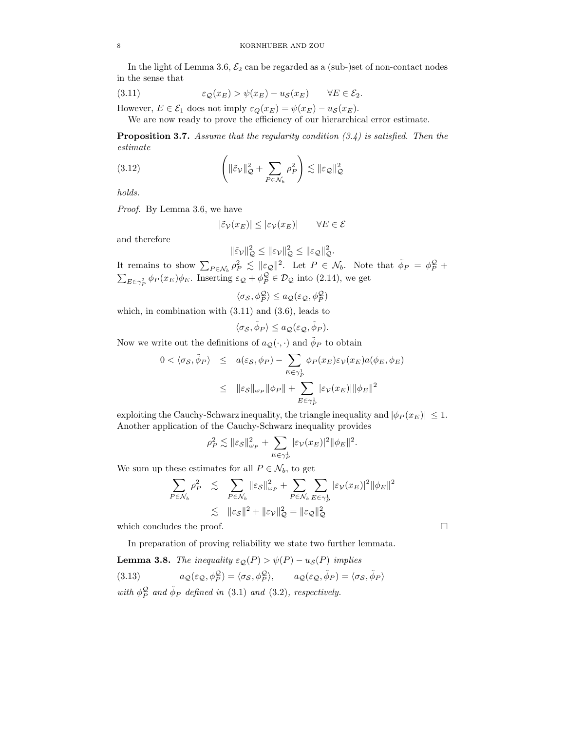In the light of Lemma 3.6,  $\mathcal{E}_2$  can be regarded as a (sub-)set of non-contact nodes in the sense that

(3.11) 
$$
\varepsilon_{\mathcal{Q}}(x_E) > \psi(x_E) - u_{\mathcal{S}}(x_E) \qquad \forall E \in \mathcal{E}_2.
$$

However,  $E \in \mathcal{E}_1$  does not imply  $\varepsilon_Q(x_E) = \psi(x_E) - u_{\mathcal{S}}(x_E)$ .

We are now ready to prove the efficiency of our hierarchical error estimate.

**Proposition 3.7.** *Assume that the regularity condition (3.4) is satisfied. Then the estimate*

(3.12) 
$$
\left( \|\tilde{\varepsilon}_{\mathcal{V}}\|_{\mathcal{Q}}^2 + \sum_{P \in \mathcal{N}_b} \rho_P^2 \right) \lesssim \|\varepsilon_{\mathcal{Q}}\|_{\mathcal{Q}}^2
$$

*holds.*

*Proof.* By Lemma 3.6, we have

$$
|\tilde{\varepsilon}_{\mathcal{V}}(x_E)| \le |\varepsilon_{\mathcal{V}}(x_E)| \qquad \forall E \in \mathcal{E}
$$

and therefore

$$
\|\tilde{\varepsilon}_{\mathcal{V}}\|_{\mathcal{Q}}^2 \le \|\varepsilon_{\mathcal{V}}\|_{\mathcal{Q}}^2 \le \|\varepsilon_{\mathcal{Q}}\|_{\mathcal{Q}}^2.
$$

It remains to show  $\sum_{P \in \mathcal{N}_b} \rho_P^2 \leq ||\epsilon_{\mathcal{Q}}||^2$ . Let  $P \in \mathcal{N}_b$ . Note that  $\tilde{\phi}_P = \phi_P^{\mathcal{Q}} +$  $\sum_{E \in \gamma_P^2} \phi_P(x_E) \phi_E$ . Inserting  $\varepsilon_{\mathcal{Q}} + \phi_P^{\mathcal{Q}} \in \mathcal{D}_{\mathcal{Q}}$  into (2.14), we get

 $\langle \sigma_{\mathcal{S}}, \phi^{\mathcal{Q}}_P \rangle \leq a_{\mathcal{Q}}(\varepsilon_{\mathcal{Q}}, \phi^{\mathcal{Q}}_P)$ 

which, in combination with (3.11) and (3.6), leads to

$$
\langle \sigma_{\mathcal{S}}, \tilde{\phi}_P \rangle \le a_{\mathcal{Q}}(\varepsilon_{\mathcal{Q}}, \tilde{\phi}_P).
$$

Now we write out the definitions of  $a_{\mathcal{Q}}(\cdot, \cdot)$  and  $\phi_P$  to obtain

$$
0 < \langle \sigma_{\mathcal{S}}, \tilde{\phi}_P \rangle \leq a(\varepsilon_{\mathcal{S}}, \phi_P) - \sum_{E \in \gamma_P^1} \phi_P(x_E) \varepsilon_{\mathcal{V}}(x_E) a(\phi_E, \phi_E)
$$
\n
$$
\leq \| \varepsilon_{\mathcal{S}} \|_{\omega_P} \| \phi_P \| + \sum_{E \in \gamma_P^1} | \varepsilon_{\mathcal{V}}(x_E) | \| \phi_E \|^2
$$

exploiting the Cauchy-Schwarz inequality, the triangle inequality and  $|\phi_P(x_E)| \leq 1$ . Another application of the Cauchy-Schwarz inequality provides

$$
\rho_P^2 \lesssim \|\varepsilon_S\|_{\omega_P}^2 + \sum_{E \in \gamma_P^1} |\varepsilon_V(x_E)|^2 \|\phi_E\|^2.
$$

We sum up these estimates for all  $P \in \mathcal{N}_b$ , to get

$$
\sum_{P \in \mathcal{N}_b} \rho_P^2 \lesssim \sum_{P \in \mathcal{N}_b} \|\varepsilon_{\mathcal{S}}\|_{\omega_P}^2 + \sum_{P \in \mathcal{N}_b} \sum_{E \in \gamma_P^1} |\varepsilon_{\mathcal{V}}(x_E)|^2 \|\phi_E\|^2
$$
  

$$
\lesssim \|\varepsilon_{\mathcal{S}}\|^2 + \|\varepsilon_{\mathcal{V}}\|_{\mathcal{Q}}^2 = \|\varepsilon_{\mathcal{Q}}\|_{\mathcal{Q}}^2
$$

which concludes the proof.  $\Box$ 

In preparation of proving reliability we state two further lemmata.

**Lemma 3.8.** *The inequality*  $\varepsilon_{\mathcal{O}}(P) > \psi(P) - u_{\mathcal{S}}(P)$  *implies* (3.13)  $a_{\mathcal{Q}}(\varepsilon_{\mathcal{Q}}, \phi_P^{\mathcal{Q}}) = \langle \sigma_{\mathcal{S}}, \phi_P^{\mathcal{Q}} \rangle, \qquad a_{\mathcal{Q}}(\varepsilon_{\mathcal{Q}}, \tilde{\phi}_P) = \langle \sigma_{\mathcal{S}}, \tilde{\phi}_P \rangle$ with  $\phi_P^{\mathcal{Q}}$  and  $\tilde{\phi}_P$  defined in (3.1) and (3.2), respectively.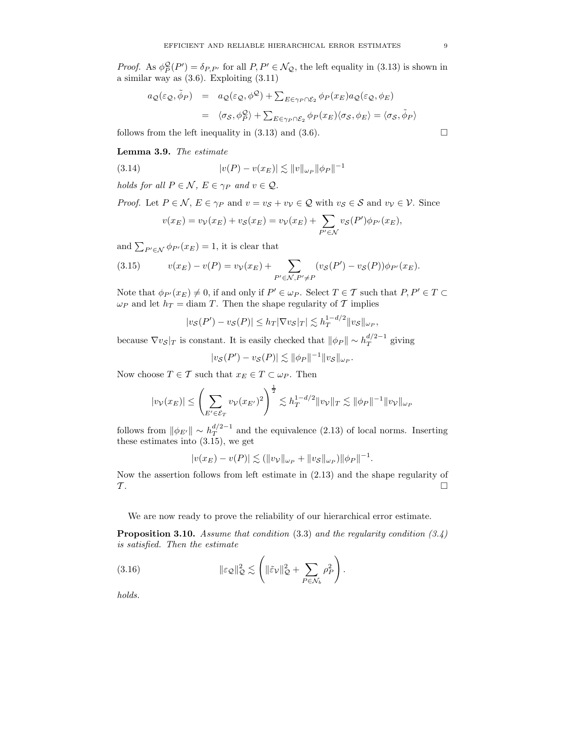*Proof.* As  $\phi_P^{\mathcal{Q}}(P') = \delta_{P,P'}$  for all  $P, P' \in \mathcal{N}_{\mathcal{Q}}$ , the left equality in (3.13) is shown in a similar way as (3.6). Exploiting (3.11)

$$
a_{\mathcal{Q}}(\varepsilon_{\mathcal{Q}}, \tilde{\phi}_P) = a_{\mathcal{Q}}(\varepsilon_{\mathcal{Q}}, \phi^{\mathcal{Q}}) + \sum_{E \in \gamma_P \cap \mathcal{E}_2} \phi_P(x_E) a_{\mathcal{Q}}(\varepsilon_{\mathcal{Q}}, \phi_E)
$$
  

$$
= \langle \sigma_{\mathcal{S}}, \phi_P^{\mathcal{Q}} \rangle + \sum_{E \in \gamma_P \cap \mathcal{E}_2} \phi_P(x_E) \langle \sigma_{\mathcal{S}}, \phi_E \rangle = \langle \sigma_{\mathcal{S}}, \tilde{\phi}_P \rangle
$$
 follows from the left inequality in (3.13) and (3.6).

**Lemma 3.9.** *The estimate*

(3.14) 
$$
|v(P) - v(x_E)| \lesssim ||v||_{\omega_P} ||\phi_P||^{-1}
$$

*holds for all*  $P \in \mathcal{N}$ ,  $E \in \gamma_P$  *and*  $v \in \mathcal{Q}$ .

*Proof.* Let  $P \in \mathcal{N}$ ,  $E \in \gamma_P$  and  $v = v_S + v_V \in \mathcal{Q}$  with  $v_S \in \mathcal{S}$  and  $v_V \in \mathcal{V}$ . Since

$$
v(x_E) = v_V(x_E) + v_S(x_E) = v_V(x_E) + \sum_{P' \in \mathcal{N}} v_S(P') \phi_{P'}(x_E),
$$

and  $\sum_{P' \in \mathcal{N}} \phi_{P'}(x_E) = 1$ , it is clear that

(3.15) 
$$
v(x_E) - v(P) = v_V(x_E) + \sum_{P' \in \mathcal{N}, P' \neq P} (v_S(P') - v_S(P)) \phi_{P'}(x_E).
$$

Note that  $\phi_{P'}(x_E) \neq 0$ , if and only if  $P' \in \omega_P$ . Select  $T \in \mathcal{T}$  such that  $P, P' \in T \subset \mathcal{T}$  $\omega_P$  and let  $h_T = \text{diam } T$ . Then the shape regularity of T implies

$$
|v_{\mathcal{S}}(P') - v_{\mathcal{S}}(P)| \le h_T |\nabla v_{\mathcal{S}}|_T| \lesssim h_T^{1-d/2} ||v_{\mathcal{S}}||_{\omega_P},
$$

because  $\nabla v_{\mathcal{S}}|_{T}$  is constant. It is easily checked that  $\|\phi_{P}\| \sim h_T^{d/2-1}$  giving

$$
|v_{\mathcal{S}}(P') - v_{\mathcal{S}}(P)| \lesssim ||\phi_P||^{-1} ||v_{\mathcal{S}}||_{\omega_P}.
$$

Now choose  $T \in \mathcal{T}$  such that  $x_E \in T \subset \omega_P$ . Then

$$
|v_{\mathcal{V}}(x_E)| \leq \left(\sum_{E' \in \mathcal{E}_T} v_{\mathcal{V}}(x_{E'})^2\right)^{\frac{1}{2}} \lesssim h_T^{1-d/2} ||v_{\mathcal{V}}||_T \lesssim ||\phi_P||^{-1} ||v_{\mathcal{V}}||_{\omega_P}
$$

follows from  $\|\phi_{E'}\| \sim h_T^{d/2-1}$  and the equivalence (2.13) of local norms. Inserting these estimates into (3.15), we get

$$
|v(x_E) - v(P)| \lesssim (||v_V||_{\omega_P} + ||v_S||_{\omega_P}) ||\phi_P||^{-1}.
$$

Now the assertion follows from left estimate in (2.13) and the shape regularity of  $\mathcal{T}$ .

We are now ready to prove the reliability of our hierarchical error estimate.

**Proposition 3.10.** *Assume that condition* (3.3) *and the regularity condition (3.4) is satisfied. Then the estimate*

(3.16) 
$$
\|\varepsilon_{\mathcal{Q}}\|_{\mathcal{Q}}^2 \lesssim \left(\|\tilde{\varepsilon}_{\mathcal{V}}\|_{\mathcal{Q}}^2 + \sum_{P \in \mathcal{N}_b} \rho_P^2\right).
$$

*holds.*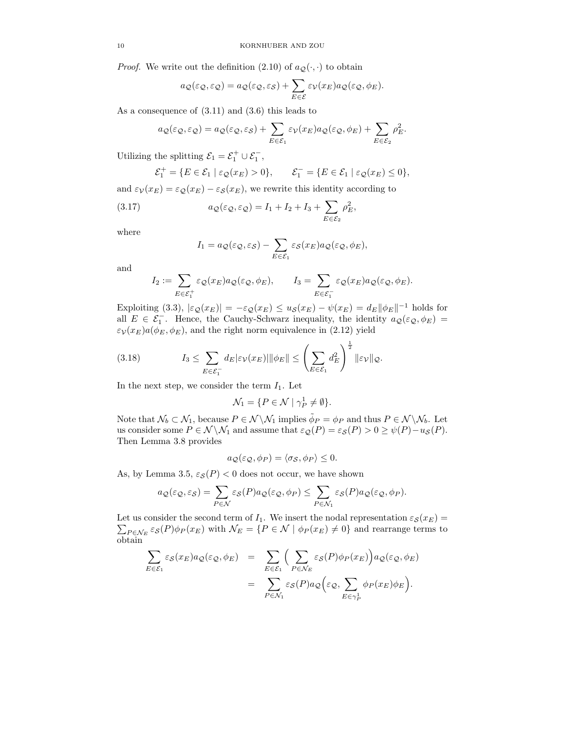*Proof.* We write out the definition (2.10) of  $a_{\mathcal{Q}}(\cdot, \cdot)$  to obtain

$$
a_{\mathcal{Q}}(\varepsilon_{\mathcal{Q}}, \varepsilon_{\mathcal{Q}}) = a_{\mathcal{Q}}(\varepsilon_{\mathcal{Q}}, \varepsilon_{\mathcal{S}}) + \sum_{E \in \mathcal{E}} \varepsilon_{\mathcal{V}}(x_E) a_{\mathcal{Q}}(\varepsilon_{\mathcal{Q}}, \phi_E).
$$

As a consequence of (3.11) and (3.6) this leads to

$$
a_{\mathcal{Q}}(\varepsilon_{\mathcal{Q}}, \varepsilon_{\mathcal{Q}}) = a_{\mathcal{Q}}(\varepsilon_{\mathcal{Q}}, \varepsilon_{\mathcal{S}}) + \sum_{E \in \mathcal{E}_1} \varepsilon_{\mathcal{V}}(x_E) a_{\mathcal{Q}}(\varepsilon_{\mathcal{Q}}, \phi_E) + \sum_{E \in \mathcal{E}_2} \rho_E^2.
$$

Utilizing the splitting  $\mathcal{E}_1 = \mathcal{E}_1^+ \cup \mathcal{E}_1^-,$ 

$$
\mathcal{E}_1^+ = \{ E \in \mathcal{E}_1 \mid \varepsilon_{\mathcal{Q}}(x_E) > 0 \}, \qquad \mathcal{E}_1^- = \{ E \in \mathcal{E}_1 \mid \varepsilon_{\mathcal{Q}}(x_E) \le 0 \},
$$

and  $\varepsilon_V(x_E) = \varepsilon_{\mathcal{Q}}(x_E) - \varepsilon_{\mathcal{S}}(x_E)$ , we rewrite this identity according to

(3.17) 
$$
a_{\mathcal{Q}}(\varepsilon_{\mathcal{Q}}, \varepsilon_{\mathcal{Q}}) = I_1 + I_2 + I_3 + \sum_{E \in \mathcal{E}_2} \rho_E^2,
$$

where

$$
I_1 = a_{\mathcal{Q}}(\varepsilon_{\mathcal{Q}}, \varepsilon_{\mathcal{S}}) - \sum_{E \in \mathcal{E}_1} \varepsilon_{\mathcal{S}}(x_E) a_{\mathcal{Q}}(\varepsilon_{\mathcal{Q}}, \phi_E),
$$

and

$$
I_2 := \sum_{E \in \mathcal{E}_1^+} \varepsilon_{\mathcal{Q}}(x_E) a_{\mathcal{Q}}(\varepsilon_{\mathcal{Q}}, \phi_E), \qquad I_3 = \sum_{E \in \mathcal{E}_1^-} \varepsilon_{\mathcal{Q}}(x_E) a_{\mathcal{Q}}(\varepsilon_{\mathcal{Q}}, \phi_E).
$$

Exploiting (3.3),  $|\varepsilon_{\mathcal{Q}}(x_E)| = -\varepsilon_{\mathcal{Q}}(x_E) \leq u_{\mathcal{S}}(x_E) - \psi(x_E) = d_E ||\phi_E||^{-1}$  holds for all  $E \in \mathcal{E}_1^-$ . Hence, the Cauchy-Schwarz inequality, the identity  $a_{\mathcal{Q}}(\varepsilon_{\mathcal{Q}}, \phi_E) =$  $\varepsilon_\mathcal{V}(x_E) a(\phi_E, \phi_E),$  and the right norm equivalence in (2.12) yield

(3.18) 
$$
I_3 \leq \sum_{E \in \mathcal{E}_1^-} d_E |\varepsilon_\mathcal{V}(x_E)| \|\phi_E\| \leq \left(\sum_{E \in \mathcal{E}_1} d_E^2\right)^{\frac{1}{2}} \|\varepsilon_\mathcal{V}\|_{\mathcal{Q}}.
$$

In the next step, we consider the term  $I_1$ . Let

$$
\mathcal{N}_1=\{P\in\mathcal{N}\mid \gamma_P^1\neq\emptyset\}.
$$

Note that  $\mathcal{N}_b \subset \mathcal{N}_1$ , because  $P \in \mathcal{N} \setminus \mathcal{N}_1$  implies  $\phi_P = \phi_P$  and thus  $P \in \mathcal{N} \setminus \mathcal{N}_b$ . Let us consider some  $P \in \mathcal{N} \backslash \mathcal{N}_1$  and assume that  $\varepsilon_{\mathcal{Q}}(P) = \varepsilon_{\mathcal{S}}(P) > 0 \ge \psi(P) - u_{\mathcal{S}}(P)$ . Then Lemma 3.8 provides

$$
a_{\mathcal{Q}}(\varepsilon_{\mathcal{Q}}, \phi_P) = \langle \sigma_{\mathcal{S}}, \phi_P \rangle \le 0.
$$

As, by Lemma 3.5,  $\varepsilon_{\mathcal{S}}(P) < 0$  does not occur, we have shown

$$
a_{\mathcal{Q}}(\varepsilon_{\mathcal{Q}}, \varepsilon_{\mathcal{S}}) = \sum_{P \in \mathcal{N}} \varepsilon_{\mathcal{S}}(P) a_{\mathcal{Q}}(\varepsilon_{\mathcal{Q}}, \phi_P) \leq \sum_{P \in \mathcal{N}_1} \varepsilon_{\mathcal{S}}(P) a_{\mathcal{Q}}(\varepsilon_{\mathcal{Q}}, \phi_P).
$$

Let us consider the second term of  $I_1$ . We insert the nodal representation  $\varepsilon_{\mathcal{S}}(x_E) =$  $\sum_{P \in \mathcal{N}_E} \varepsilon_{\mathcal{S}}(P) \phi_P(x_E)$  with  $\mathcal{N}_E = \{P \in \mathcal{N} \mid \phi_P(x_E) \neq 0\}$  and rearrange terms to obtain

$$
\sum_{E \in \mathcal{E}_1} \varepsilon_{\mathcal{S}}(x_E) a_{\mathcal{Q}}(\varepsilon_{\mathcal{Q}}, \phi_E) = \sum_{E \in \mathcal{E}_1} \Big( \sum_{P \in \mathcal{N}_E} \varepsilon_{\mathcal{S}}(P) \phi_P(x_E) \Big) a_{\mathcal{Q}}(\varepsilon_{\mathcal{Q}}, \phi_E)
$$

$$
= \sum_{P \in \mathcal{N}_1} \varepsilon_{\mathcal{S}}(P) a_{\mathcal{Q}} \Big( \varepsilon_{\mathcal{Q}}, \sum_{E \in \gamma_P^1} \phi_P(x_E) \phi_E \Big).
$$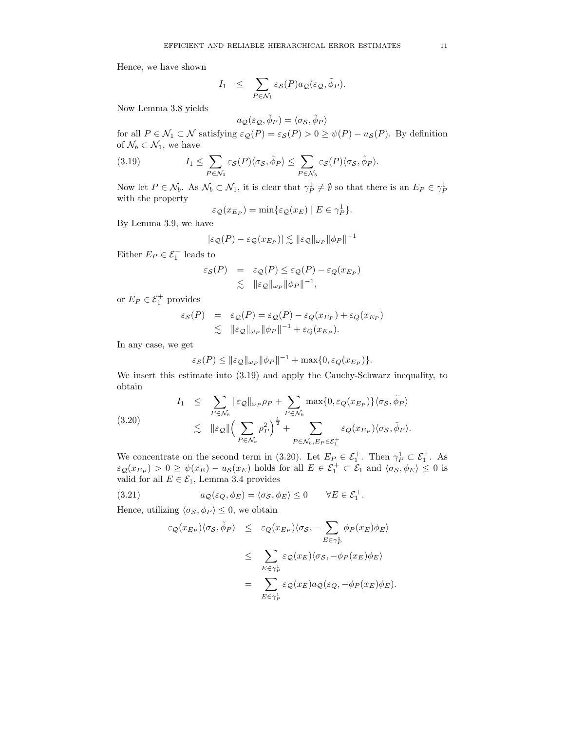Hence, we have shown

$$
I_1 \leq \sum_{P \in \mathcal{N}_1} \varepsilon_{\mathcal{S}}(P) a_{\mathcal{Q}}(\varepsilon_{\mathcal{Q}}, \tilde{\phi}_P).
$$

Now Lemma 3.8 yields

$$
a_{\mathcal{Q}}(\varepsilon_{\mathcal{Q}}, \tilde{\phi}_{P}) = \langle \sigma_{\mathcal{S}}, \tilde{\phi}_{P} \rangle
$$

for all  $P \in \mathcal{N}_1 \subset \mathcal{N}$  satisfying  $\varepsilon_{\mathcal{Q}}(P) = \varepsilon_{\mathcal{S}}(P) > 0 \ge \psi(P) - u_{\mathcal{S}}(P)$ . By definition of  $\mathcal{N}_b \subset \mathcal{N}_1,$  we have

(3.19) 
$$
I_1 \leq \sum_{P \in \mathcal{N}_1} \varepsilon_{\mathcal{S}}(P) \langle \sigma_{\mathcal{S}}, \tilde{\phi}_P \rangle \leq \sum_{P \in \mathcal{N}_b} \varepsilon_{\mathcal{S}}(P) \langle \sigma_{\mathcal{S}}, \tilde{\phi}_P \rangle.
$$

Now let  $P \in \mathcal{N}_b$ . As  $\mathcal{N}_b \subset \mathcal{N}_1$ , it is clear that  $\gamma_P^1 \neq \emptyset$  so that there is an  $E_P \in \gamma_P^1$ with the property

$$
\varepsilon_{\mathcal{Q}}(x_{E_P}) = \min \{ \varepsilon_{\mathcal{Q}}(x_E) \mid E \in \gamma_P^1 \}.
$$

By Lemma 3.9, we have

$$
|\varepsilon_{\mathcal{Q}}(P) - \varepsilon_{\mathcal{Q}}(x_{E_P})| \lesssim ||\varepsilon_{\mathcal{Q}}||_{\omega_P} ||\phi_P||^{-1}
$$

Either  $E_P \in \mathcal{E}_1^-$  leads to

$$
\varepsilon_{\mathcal{S}}(P) = \varepsilon_{\mathcal{Q}}(P) \leq \varepsilon_{\mathcal{Q}}(P) - \varepsilon_{Q}(x_{E_{P}})
$$
  
 
$$
\lesssim \| \varepsilon_{\mathcal{Q}} \|_{\omega_{P}} \| \phi_{P} \|^{-1},
$$

or  $E_P \in \mathcal{E}_1^+$  provides

$$
\varepsilon_{\mathcal{S}}(P) = \varepsilon_{\mathcal{Q}}(P) = \varepsilon_{\mathcal{Q}}(P) - \varepsilon_{Q}(x_{E_P}) + \varepsilon_{Q}(x_{E_P})
$$
  
\$\leq\$  $||\varepsilon_{\mathcal{Q}}||_{\omega_P} ||\phi_P||^{-1} + \varepsilon_{Q}(x_{E_P}).$ 

In any case, we get

$$
\varepsilon_{\mathcal{S}}(P) \leq ||\varepsilon_{\mathcal{Q}}||_{\omega_P} ||\phi_P||^{-1} + \max\{0, \varepsilon_Q(x_{E_P})\}.
$$

We insert this estimate into (3.19) and apply the Cauchy-Schwarz inequality, to obtain

(3.20) 
$$
I_1 \leq \sum_{P \in \mathcal{N}_b} \|\varepsilon_{\mathcal{Q}}\|_{\omega_P} \rho_P + \sum_{P \in \mathcal{N}_b} \max\{0, \varepsilon_Q(x_{E_P})\} \langle \sigma_S, \tilde{\phi}_P \rangle \n\lesssim \|\varepsilon_{\mathcal{Q}}\| \Big(\sum_{P \in \mathcal{N}_b} \rho_P^2\Big)^{\frac{1}{2}} + \sum_{P \in \mathcal{N}_b, E_P \in \mathcal{E}_1^+} \varepsilon_Q(x_{E_P}) \langle \sigma_S, \tilde{\phi}_P \rangle.
$$

We concentrate on the second term in (3.20). Let  $E_P \in \mathcal{E}_1^+$ . Then  $\gamma_P^1 \subset \mathcal{E}_1^+$ . As  $\varepsilon_{\mathcal{Q}}(x_{E_P}) > 0 \ge \psi(x_E) - u_{\mathcal{S}}(x_E)$  holds for all  $E \in \mathcal{E}_1^+ \subset \mathcal{E}_1$  and  $\langle \sigma_S, \phi_E \rangle \le 0$  is valid for all  $E \in \mathcal{E}_1$ , Lemma 3.4 provides

(3.21) 
$$
a_{\mathcal{Q}}(\varepsilon_{Q}, \phi_{E}) = \langle \sigma_{\mathcal{S}}, \phi_{E} \rangle \leq 0 \quad \forall E \in \mathcal{E}_{1}^{+}.
$$

Hence, utilizing  $\langle \sigma_{\mathcal{S}}, \phi_P \rangle \leq 0$ , we obtain

$$
\varepsilon_{\mathcal{Q}}(x_{E_P})\langle \sigma_{\mathcal{S}}, \tilde{\phi}_P \rangle \leq \varepsilon_{Q}(x_{E_P})\langle \sigma_{\mathcal{S}}, -\sum_{E \in \gamma_P^1} \phi_P(x_E)\phi_E \rangle
$$
  

$$
\leq \sum_{E \in \gamma_P^1} \varepsilon_{\mathcal{Q}}(x_E)\langle \sigma_{\mathcal{S}}, -\phi_P(x_E)\phi_E \rangle
$$
  

$$
= \sum_{E \in \gamma_P^1} \varepsilon_{\mathcal{Q}}(x_E) a_{\mathcal{Q}}(\varepsilon_Q, -\phi_P(x_E)\phi_E).
$$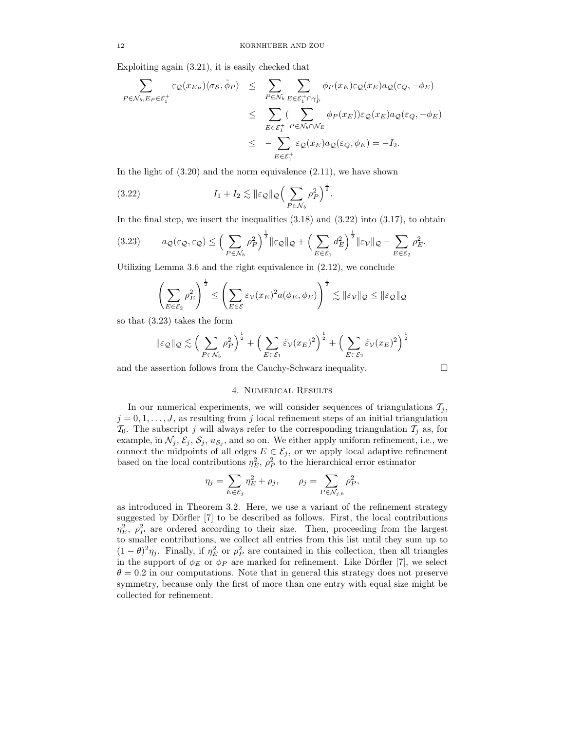Exploiting again (3.21), it is easily checked that

$$
\sum_{P \in \mathcal{N}_b, E_P \in \mathcal{E}_1^+} \varepsilon_{\mathcal{Q}}(x_{E_P}) \langle \sigma_{\mathcal{S}}, \tilde{\phi}_P \rangle \leq \sum_{P \in \mathcal{N}_b} \sum_{E \in \mathcal{E}_1^+ \cap \gamma_P^1} \phi_P(x_E) \varepsilon_{\mathcal{Q}}(x_E) a_{\mathcal{Q}}(\varepsilon_Q, -\phi_E)
$$
\n
$$
\leq \sum_{E \in \mathcal{E}_1^+} \sum_{P \in \mathcal{N}_b \cap \mathcal{N}_E} \phi_P(x_E) \varepsilon_{\mathcal{Q}}(x_E) a_{\mathcal{Q}}(\varepsilon_Q, -\phi_E)
$$
\n
$$
\leq -\sum_{E \in \mathcal{E}_1^+} \varepsilon_{\mathcal{Q}}(x_E) a_{\mathcal{Q}}(\varepsilon_Q, \phi_E) = -I_2.
$$

In the light of  $(3.20)$  and the norm equivalence  $(2.11)$ , we have shown

(3.22) 
$$
I_1 + I_2 \lesssim \|\varepsilon_{\mathcal{Q}}\|_{\mathcal{Q}} \Big(\sum_{P \in \mathcal{N}_b} \rho_P^2\Big)^{\frac{1}{2}}.
$$

In the final step, we insert the inequalities  $(3.18)$  and  $(3.22)$  into  $(3.17)$ , to obtain

$$
(3.23) \t a_{\mathcal{Q}}(\varepsilon_{\mathcal{Q}}, \varepsilon_{\mathcal{Q}}) \leq \Big(\sum_{P \in \mathcal{N}_b} \rho_P^2\Big)^{\frac{1}{2}} \|\varepsilon_{\mathcal{Q}}\|_{\mathcal{Q}} + \Big(\sum_{E \in \mathcal{E}_1} d_E^2\Big)^{\frac{1}{2}} \|\varepsilon_{\mathcal{V}}\|_{\mathcal{Q}} + \sum_{E \in \mathcal{E}_2} \rho_E^2.
$$

Utilizing Lemma 3.6 and the right equivalence in (2.12), we conclude

$$
\left(\sum_{E\in\mathcal{E}_2}\rho_E^2\right)^{\frac{1}{2}} \le \left(\sum_{E\in\mathcal{E}}\varepsilon_\mathcal{V}(x_E)^2 a(\phi_E,\phi_E)\right)^{\frac{1}{2}} \lesssim \|\varepsilon_\mathcal{V}\|_{\mathcal{Q}} \le \|\varepsilon_{\mathcal{Q}}\|_{\mathcal{Q}}
$$

so that (3.23) takes the form

$$
\|\varepsilon_{\mathcal{Q}}\|_{\mathcal{Q}} \lesssim \left(\sum_{P \in \mathcal{N}_b} \rho_P^2\right)^{\frac{1}{2}} + \left(\sum_{E \in \mathcal{E}_1} \tilde{\varepsilon}_{\mathcal{V}}(x_E)^2\right)^{\frac{1}{2}} + \left(\sum_{E \in \mathcal{E}_2} \tilde{\varepsilon}_{\mathcal{V}}(x_E)^2\right)^{\frac{1}{2}}
$$

and the assertion follows from the Cauchy-Schwarz inequality.  $\Box$ 

## 4. Numerical Results

In our numerical experiments, we will consider sequences of triangulations  $\mathcal{T}_i$ ,  $j = 0, 1, \ldots, J$ , as resulting from j local refinement steps of an initial triangulation  $\mathcal{T}_0$ . The subscript j will always refer to the corresponding triangulation  $\mathcal{T}_j$  as, for example, in  $\mathcal{N}_j$ ,  $\mathcal{E}_j$ ,  $\mathcal{S}_j$ ,  $u_{\mathcal{S}_j}$ , and so on. We either apply uniform refinement, i.e., we connect the midpoints of all edges  $E \in \mathcal{E}_j$ , or we apply local adaptive refinement based on the local contributions  $\eta_F^2$ ,  $\rho_P^2$  to the hierarchical error estimator

$$
\eta_j = \sum_{E \in \mathcal{E}_j} \eta_E^2 + \rho_j, \qquad \rho_j = \sum_{P \in \mathcal{N}_{j,b}} \rho_P^2,
$$

as introduced in Theorem 3.2. Here, we use a variant of the refinement strategy suggested by Dörfler [7] to be described as follows. First, the local contributions  $\eta_E^2$ ,  $\rho_P^2$  are ordered according to their size. Then, proceeding from the largest to smaller contributions, we collect all entries from this list until they sum up to  $(1 - \theta)^2 \eta_j$ . Finally, if  $\eta_E^2$  or  $\rho_P^2$  are contained in this collection, then all triangles in the support of  $\phi_E$  or  $\phi_P$  are marked for refinement. Like Dörfler [7], we select  $\theta = 0.2$  in our computations. Note that in general this strategy does not preserve symmetry, because only the first of more than one entry with equal size might be collected for refinement.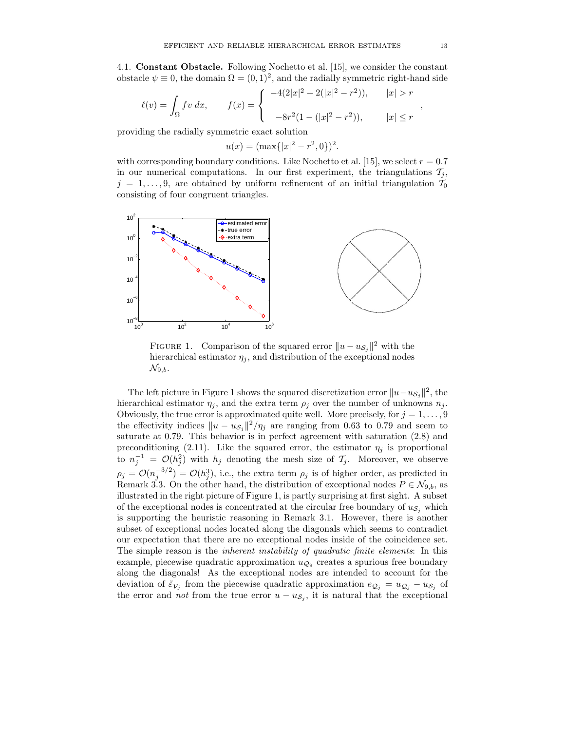4.1. **Constant Obstacle.** Following Nochetto et al. [15], we consider the constant obstacle  $\psi \equiv 0$ , the domain  $\Omega = (0, 1)^2$ , and the radially symmetric right-hand side

$$
\ell(v) = \int_{\Omega} fv \, dx, \qquad f(x) = \begin{cases} -4(2|x|^2 + 2(|x|^2 - r^2)), & |x| > r \\ -8r^2(1 - (|x|^2 - r^2)), & |x| \le r \end{cases}
$$

providing the radially symmetric exact solution

$$
u(x) = (\max\{|x|^2 - r^2, 0\})^2.
$$

with corresponding boundary conditions. Like Nochetto et al. [15], we select  $r = 0.7$ in our numerical computations. In our first experiment, the triangulations  $\mathcal{T}_i$ ,  $j = 1, \ldots, 9$ , are obtained by uniform refinement of an initial triangulation  $\mathcal{T}_0$ consisting of four congruent triangles.



FIGURE 1. Comparison of the squared error  $||u - u_{\mathcal{S}_i}||^2$  with the hierarchical estimator  $\eta_j$ , and distribution of the exceptional nodes  $\mathcal{N}_{9,b}.$ 

The left picture in Figure 1 shows the squared discretization error  $||u-u_{\mathcal{S}_i}||^2$ , the hierarchical estimator  $\eta_i$ , and the extra term  $\rho_i$  over the number of unknowns  $n_i$ . Obviously, the true error is approximated quite well. More precisely, for  $j = 1, \ldots, 9$ the effectivity indices  $||u - u_{\mathcal{S}_j}||^2 / \eta_j$  are ranging from 0.63 to 0.79 and seem to saturate at 0.79. This behavior is in perfect agreement with saturation (2.8) and preconditioning (2.11). Like the squared error, the estimator  $\eta_j$  is proportional to  $n_i^{-1} = \mathcal{O}(h_i^2)$  with  $h_j$  denoting the mesh size of  $\mathcal{T}_j$ . Moreover, we observe  $\rho_j = \mathcal{O}(n_j^{-3/2}) = \mathcal{O}(n_j^3)$ , i.e., the extra term  $\rho_j$  is of higher order, as predicted in Remark 3.3. On the other hand, the distribution of exceptional nodes  $P \in \mathcal{N}_{9,b}$ , as illustrated in the right picture of Figure 1, is partly surprising at first sight. A subset of the exceptional nodes is concentrated at the circular free boundary of  $u_{\mathcal{S}_i}$  which is supporting the heuristic reasoning in Remark 3.1. However, there is another subset of exceptional nodes located along the diagonals which seems to contradict our expectation that there are no exceptional nodes inside of the coincidence set. The simple reason is the *inherent instability of quadratic finite elements*: In this example, piecewise quadratic approximation  $u_{\mathcal{Q}_0}$  creates a spurious free boundary along the diagonals! As the exceptional nodes are intended to account for the deviation of  $\tilde{\varepsilon}_{V_j}$  from the piecewise quadratic approximation  $e_{Q_j} = u_{Q_j} - u_{S_j}$  of the error and *not* from the true error  $u - u_{\mathcal{S}_j}$ , it is natural that the exceptional

,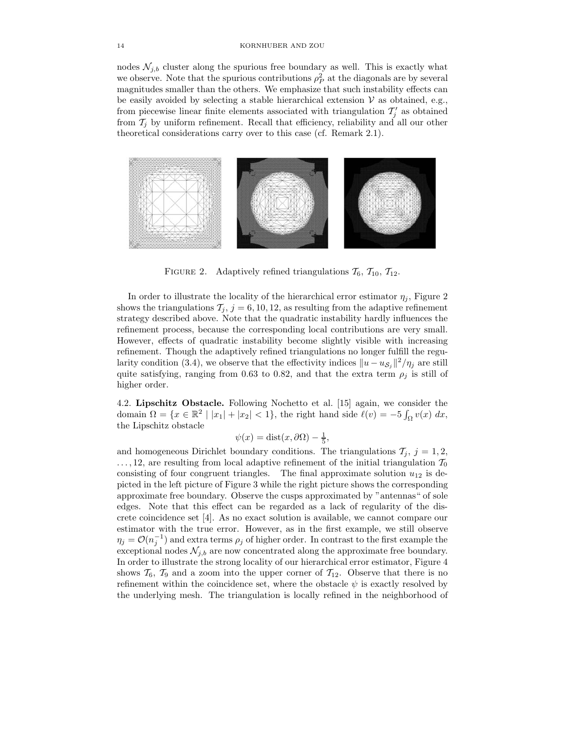nodes  $\mathcal{N}_{i,b}$  cluster along the spurious free boundary as well. This is exactly what we observe. Note that the spurious contributions  $\rho_P^2$  at the diagonals are by several magnitudes smaller than the others. We emphasize that such instability effects can be easily avoided by selecting a stable hierarchical extension  $V$  as obtained, e.g., from piecewise linear finite elements associated with triangulation  $\mathcal{T}'_i$  as obtained from  $\mathcal{T}_i$  by uniform refinement. Recall that efficiency, reliability and all our other theoretical considerations carry over to this case (cf. Remark 2.1).



FIGURE 2. Adaptively refined triangulations  $\mathcal{T}_6$ ,  $\mathcal{T}_{10}$ ,  $\mathcal{T}_{12}$ .

In order to illustrate the locality of the hierarchical error estimator  $\eta_j$ , Figure 2 shows the triangulations  $\mathcal{T}_j$ ,  $j = 6, 10, 12$ , as resulting from the adaptive refinement strategy described above. Note that the quadratic instability hardly influences the refinement process, because the corresponding local contributions are very small. However, effects of quadratic instability become slightly visible with increasing refinement. Though the adaptively refined triangulations no longer fulfill the regularity condition (3.4), we observe that the effectivity indices  $||u - u_{\mathcal{S}_j}||^2 / \eta_j$  are still quite satisfying, ranging from 0.63 to 0.82, and that the extra term  $\rho_j$  is still of higher order.

4.2. **Lipschitz Obstacle.** Following Nochetto et al. [15] again, we consider the domain  $\Omega = \{x \in \mathbb{R}^2 \mid |x_1| + |x_2| < 1\}$ , the right hand side  $\ell(v) = -5 \int_{\Omega} v(x) dx$ , the Lipschitz obstacle

 $\psi(x) = \text{dist}(x, \partial \Omega) - \frac{1}{5},$ 

and homogeneous Dirichlet boundary conditions. The triangulations  $\mathcal{T}_i$ ,  $j = 1, 2$ ,  $\ldots$ , 12, are resulting from local adaptive refinement of the initial triangulation  $\mathcal{T}_0$ consisting of four congruent triangles. The final approximate solution  $u_{12}$  is depicted in the left picture of Figure 3 while the right picture shows the corresponding approximate free boundary. Observe the cusps approximated by "antennas" of sole edges. Note that this effect can be regarded as a lack of regularity of the discrete coincidence set [4]. As no exact solution is available, we cannot compare our estimator with the true error. However, as in the first example, we still observe  $\eta_j = \mathcal{O}(n_j^{-1})$  and extra terms  $\rho_j$  of higher order. In contrast to the first example the exceptional nodes  $\mathcal{N}_{j,b}$  are now concentrated along the approximate free boundary. In order to illustrate the strong locality of our hierarchical error estimator, Figure 4 shows  $\mathcal{T}_6$ ,  $\mathcal{T}_9$  and a zoom into the upper corner of  $\mathcal{T}_{12}$ . Observe that there is no refinement within the coincidence set, where the obstacle  $\psi$  is exactly resolved by the underlying mesh. The triangulation is locally refined in the neighborhood of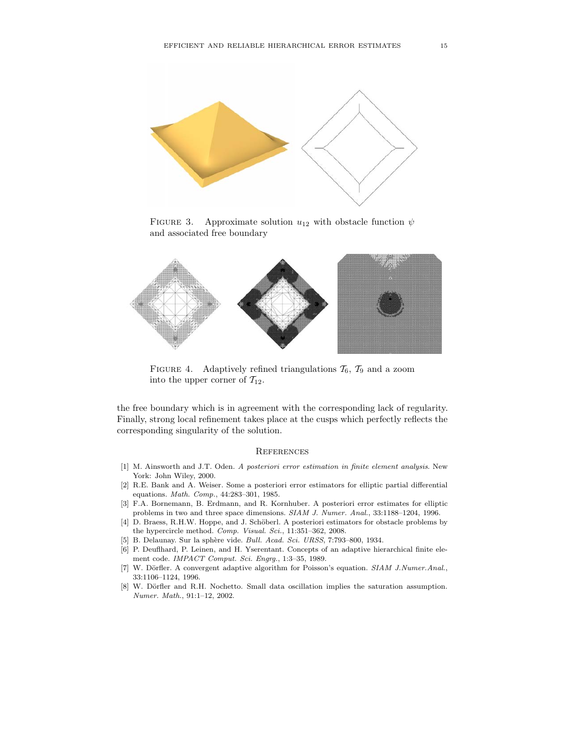

FIGURE 3. Approximate solution  $u_{12}$  with obstacle function  $\psi$ and associated free boundary



FIGURE 4. Adaptively refined triangulations  $\mathcal{T}_6$ ,  $\mathcal{T}_9$  and a zoom into the upper corner of  $\mathcal{T}_{12}$ .

the free boundary which is in agreement with the corresponding lack of regularity. Finally, strong local refinement takes place at the cusps which perfectly reflects the corresponding singularity of the solution.

## **REFERENCES**

- [1] M. Ainsworth and J.T. Oden. *A posteriori error estimation in finite element analysis*. New York: John Wiley, 2000.
- [2] R.E. Bank and A. Weiser. Some a posteriori error estimators for elliptic partial differential equations. *Math. Comp.*, 44:283–301, 1985.
- [3] F.A. Bornemann, B. Erdmann, and R. Kornhuber. A posteriori error estimates for elliptic problems in two and three space dimensions. *SIAM J. Numer. Anal.*, 33:1188–1204, 1996.
- [4] D. Braess, R.H.W. Hoppe, and J. Schöberl. A posteriori estimators for obstacle problems by the hypercircle method. *Comp. Visual. Sci.*, 11:351–362, 2008.
- [5] B. Delaunay. Sur la sph`ere vide. *Bull. Acad. Sci. URSS*, 7:793–800, 1934.
- [6] P. Deuflhard, P. Leinen, and H. Yserentant. Concepts of an adaptive hierarchical finite element code. *IMPACT Comput. Sci. Engrg.*, 1:3–35, 1989.
- [7] W. Dörfler. A convergent adaptive algorithm for Poisson's equation. *SIAM J.Numer.Anal.*, 33:1106–1124, 1996.
- [8] W. Dörfler and R.H. Nochetto. Small data oscillation implies the saturation assumption. *Numer. Math.*, 91:1–12, 2002.